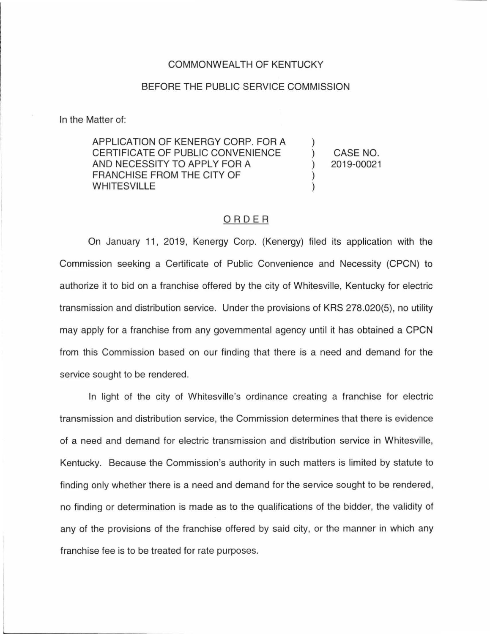## COMMONWEALTH OF KENTUCKY

## BEFORE THE PUBLIC SERVICE COMMISSION

In the Matter of:

APPLICATION OF KENERGY CORP. FOR A CERTIFICATE OF PUBLIC CONVENIENCE AND NECESSITY TO APPLY FOR A FRANCHISE FROM THE CITY OF WHITESVILLE

CASE NO. 2019-00021

## ORDER

On January 11, 2019, Kenergy Corp. (Kenergy) filed its application with the Commission seeking a Certificate of Public Convenience and Necessity (CPCN) to authorize it to bid on a franchise offered by the city of Whitesville, Kentucky for electric transmission and distribution service. Under the provisions of KRS 278.020(5), no utility may apply for a franchise from any governmental agency until it has obtained a CPCN from this Commission based on our finding that there is a need and demand for the service sought to be rendered.

In light of the city of Whitesville's ordinance creating a franchise for electric transmission and distribution service, the Commission determines that there is evidence of a need and demand for electric transmission and distribution service in Whitesville, Kentucky. Because the Commission's authority in such matters is limited by statute to finding only whether there is a need and demand for the service sought to be rendered, no finding or determination is made as to the qualifications of the bidder, the validity of any of the provisions of the franchise offered by said city, or the manner in which any franchise fee is to be treated for rate purposes.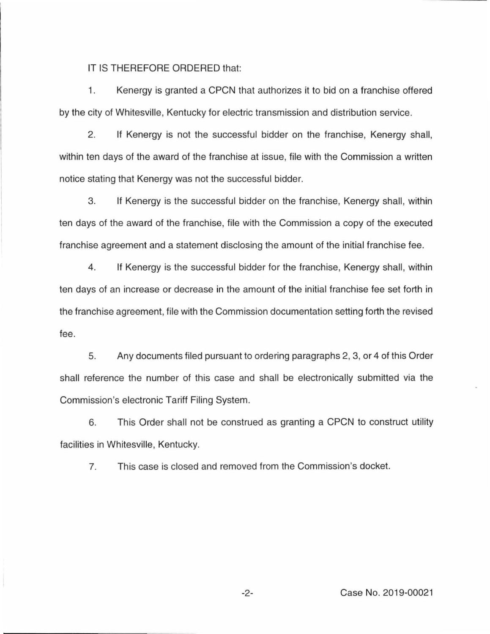IT IS THEREFORE ORDERED that:

1. Kenergy is granted a CPCN that authorizes it to bid on a franchise offered by the city of Whitesville, Kentucky for electric transmission and distribution service.

2. If Kenergy is not the successful bidder on the franchise, Kenergy shall, within ten days of the award of the franchise at issue, file with the Commission a written notice stating that Kenergy was not the successful bidder.

3. If Kenergy is the successful bidder on the franchise, Kenergy shall, within ten days of the award of the franchise, file with the Commission a copy of the executed franchise agreement and a statement disclosing the amount of the initial franchise fee.

4. If Kenergy is the successful bidder for the franchise, Kenergy shall, within ten days of an increase or decrease in the amount of the initial franchise fee set forth in the franchise agreement, file with the Commission documentation setting forth the revised fee.

5. Any documents filed pursuant to ordering paragraphs 2, 3, or 4 of this Order shall reference the number of this case and shall be electronically submitted via the Commission's electronic Tariff Filing System.

6. This Order shall not be construed as granting a CPCN to construct utility facilities in Whitesville, Kentucky.

7. This case is closed and removed from the Commission's docket.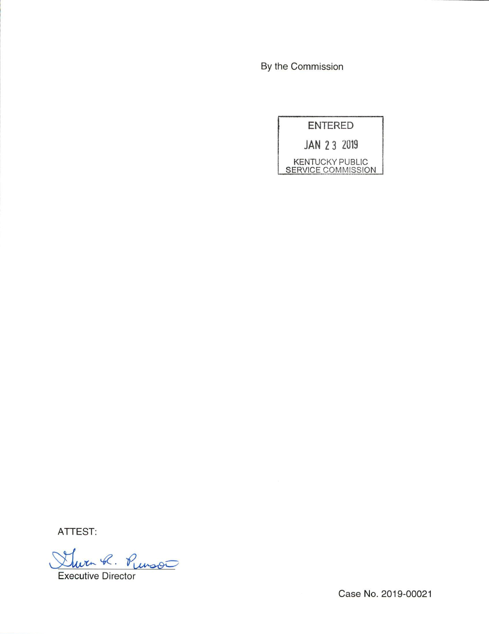By the Commission

ENTERED

JAN 2 3 Z019

KENTUCKY PUBLIC **SERVICE COMMISSION** 

ATTEST:

her R. Russo Executive Director

Case No. 2019-00021